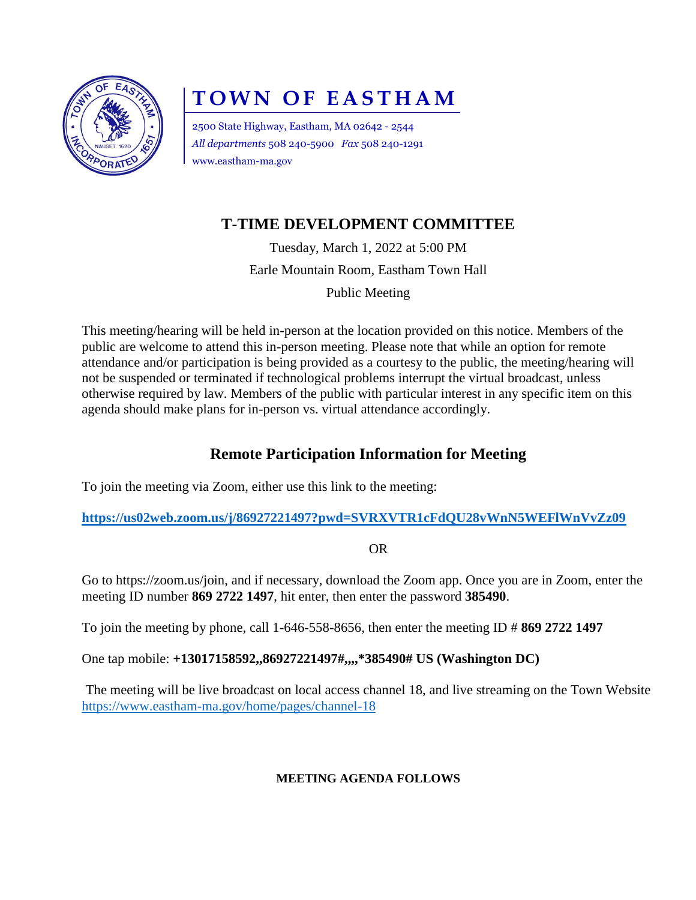

# **T O W N O F E A S T H A M**

2500 State Highway, Eastham, MA 02642 - 2544 *All departments* 508 240-5900 *Fax* 508 240-1291 www.eastham-ma.gov

## **T-TIME DEVELOPMENT COMMITTEE**

Tuesday, March 1, 2022 at 5:00 PM Earle Mountain Room, Eastham Town Hall

Public Meeting

This meeting/hearing will be held in-person at the location provided on this notice. Members of the public are welcome to attend this in-person meeting. Please note that while an option for remote attendance and/or participation is being provided as a courtesy to the public, the meeting/hearing will not be suspended or terminated if technological problems interrupt the virtual broadcast, unless otherwise required by law. Members of the public with particular interest in any specific item on this agenda should make plans for in-person vs. virtual attendance accordingly.

### **Remote Participation Information for Meeting**

To join the meeting via Zoom, either use this link to the meeting:

**<https://us02web.zoom.us/j/86927221497?pwd=SVRXVTR1cFdQU28vWnN5WEFlWnVvZz09>**

OR

Go to [https://zoom.us/join,](https://zoom.us/join) and if necessary, download the Zoom app. Once you are in Zoom, enter the meeting ID number **869 2722 1497**, hit enter, then enter the password **385490**.

To join the meeting by phone, call 1-646-558-8656, then enter the meeting ID # **869 2722 1497**

One tap mobile: **+13017158592,,86927221497#,,,,\*385490# US (Washington DC)**

The meeting will be live broadcast on local access channel 18, and live streaming on the Town Website <https://www.eastham-ma.gov/home/pages/channel-18>

#### **MEETING AGENDA FOLLOWS**